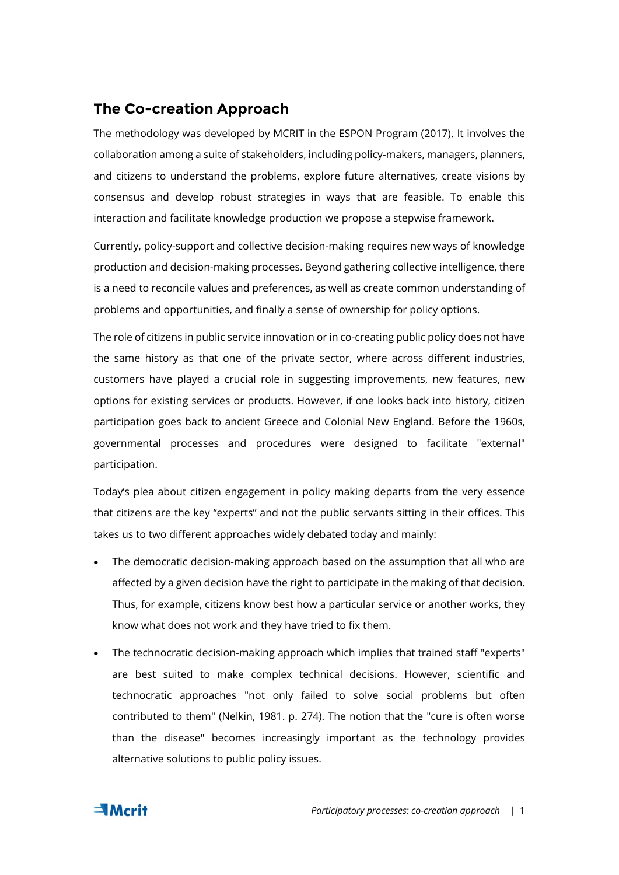## **The Co-creation Approach**

The methodology was developed by MCRIT in the ESPON Program (2017). It involves the collaboration among a suite of stakeholders, including policy-makers, managers, planners, and citizens to understand the problems, explore future alternatives, create visions by consensus and develop robust strategies in ways that are feasible. To enable this interaction and facilitate knowledge production we propose a stepwise framework.

Currently, policy-support and collective decision-making requires new ways of knowledge production and decision-making processes. Beyond gathering collective intelligence, there is a need to reconcile values and preferences, as well as create common understanding of problems and opportunities, and finally a sense of ownership for policy options.

The role of citizens in public service innovation or in co-creating public policy does not have the same history as that one of the private sector, where across different industries, customers have played a crucial role in suggesting improvements, new features, new options for existing services or products. However, if one looks back into history, citizen participation goes back to ancient Greece and Colonial New England. Before the 1960s, governmental processes and procedures were designed to facilitate "external" participation.

Today's plea about citizen engagement in policy making departs from the very essence that citizens are the key "experts" and not the public servants sitting in their offices. This takes us to two different approaches widely debated today and mainly:

- The democratic decision-making approach based on the assumption that all who are affected by a given decision have the right to participate in the making of that decision. Thus, for example, citizens know best how a particular service or another works, they know what does not work and they have tried to fix them.
- The technocratic decision-making approach which implies that trained staff "experts" are best suited to make complex technical decisions. However, scientific and technocratic approaches "not only failed to solve social problems but often contributed to them" (Nelkin, 1981. p. 274). The notion that the "cure is often worse than the disease" becomes increasingly important as the technology provides alternative solutions to public policy issues.

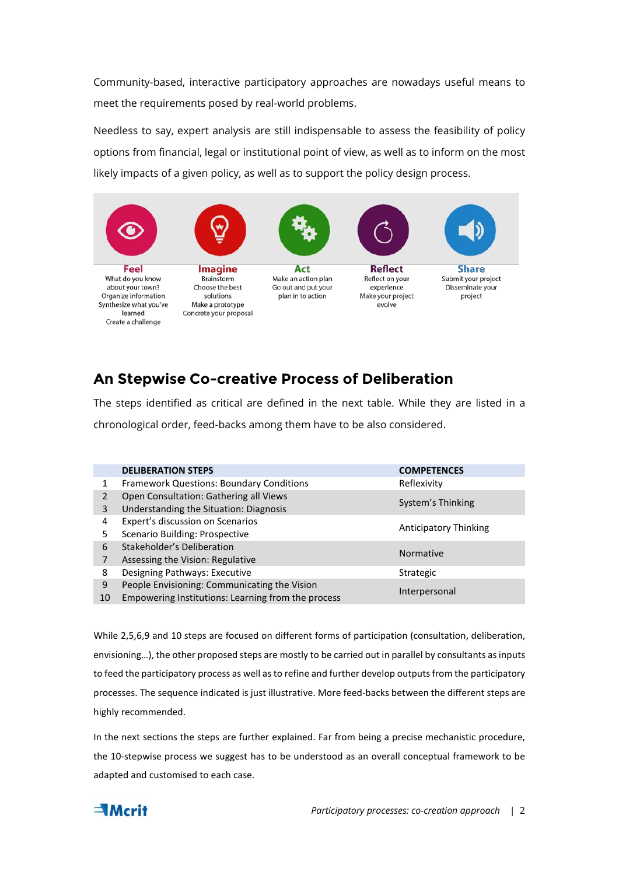Community-based, interactive participatory approaches are nowadays useful means to meet the requirements posed by real-world problems.

Needless to say, expert analysis are still indispensable to assess the feasibility of policy options from financial, legal or institutional point of view, as well as to inform on the most likely impacts of a given policy, as well as to support the policy design process.



## **An Stepwise Co-creative Process of Deliberation**

The steps identified as critical are defined in the next table. While they are listed in a chronological order, feed-backs among them have to be also considered.

|                | <b>DELIBERATION STEPS</b>                          | <b>COMPETENCES</b>           |
|----------------|----------------------------------------------------|------------------------------|
| 1              | <b>Framework Questions: Boundary Conditions</b>    | Reflexivity                  |
| $\overline{2}$ | Open Consultation: Gathering all Views             | System's Thinking            |
| 3              | Understanding the Situation: Diagnosis             |                              |
| 4              | Expert's discussion on Scenarios                   | <b>Anticipatory Thinking</b> |
| 5              | Scenario Building: Prospective                     |                              |
| 6              | Stakeholder's Deliberation                         | <b>Normative</b>             |
| 7              | Assessing the Vision: Regulative                   |                              |
| 8              | Designing Pathways: Executive                      | <b>Strategic</b>             |
| 9              | People Envisioning: Communicating the Vision       | Interpersonal                |
| 10             | Empowering Institutions: Learning from the process |                              |
|                |                                                    |                              |

While 2,5,6,9 and 10 steps are focused on different forms of participation (consultation, deliberation, envisioning…), the other proposed steps are mostly to be carried out in parallel by consultants as inputs to feed the participatory process as well as to refine and further develop outputs from the participatory processes. The sequence indicated is just illustrative. More feed-backs between the different steps are highly recommended.

In the next sections the steps are further explained. Far from being a precise mechanistic procedure, the 10-stepwise process we suggest has to be understood as an overall conceptual framework to be adapted and customised to each case.

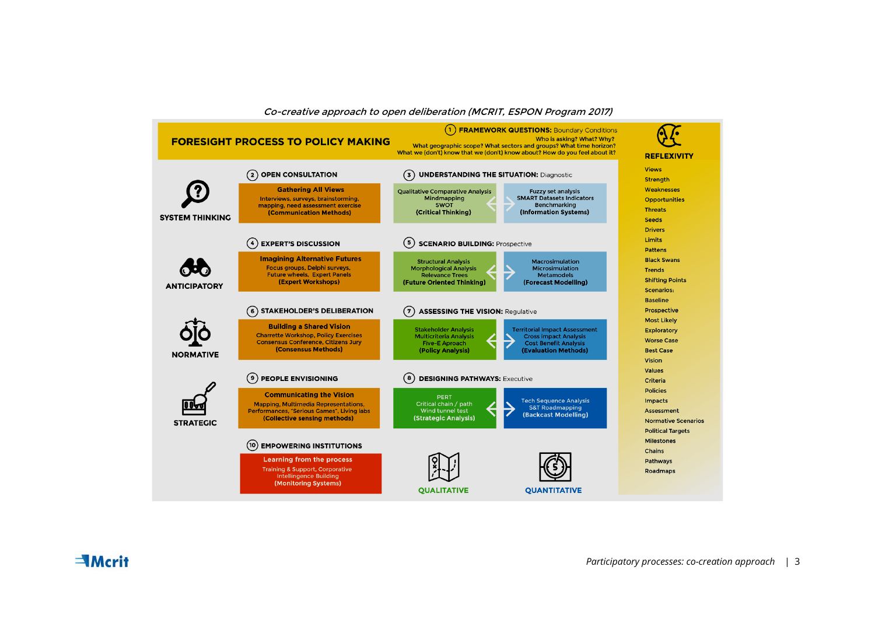

## Co-creative approach to open deliberation (MCRIT, ESPON Program 2017)